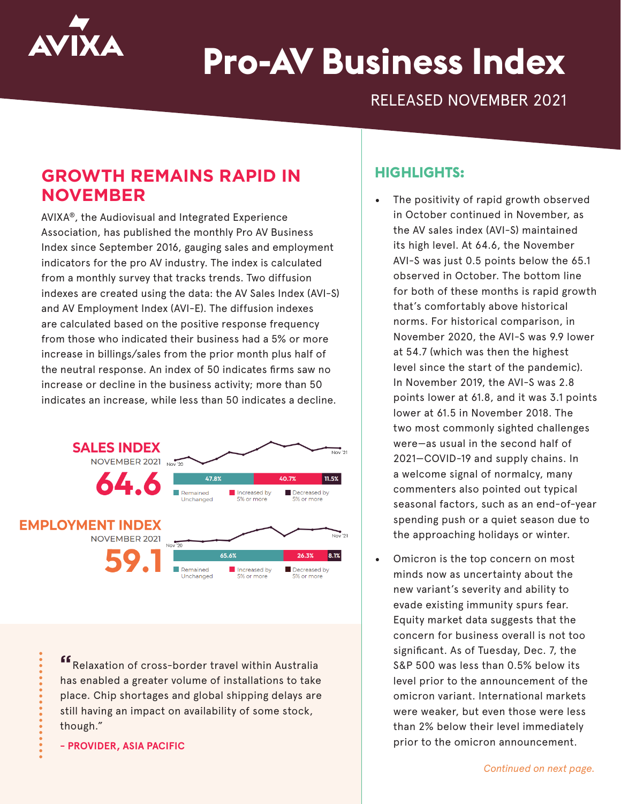

# **Pro-AV Business Index**

RELEASED NOVEMBER 2021

## **GROWTH REMAINS RAPID IN NOVEMBER**

AVIXA®, the Audiovisual and Integrated Experience Association, has published the monthly Pro AV Business Index since September 2016, gauging sales and employment indicators for the pro AV industry. The index is calculated from a monthly survey that tracks trends. Two diffusion indexes are created using the data: the AV Sales Index (AVI-S) and AV Employment Index (AVI-E). The diffusion indexes are calculated based on the positive response frequency from those who indicated their business had a 5% or more increase in billings/sales from the prior month plus half of the neutral response. An index of 50 indicates firms saw no increase or decline in the business activity; more than 50 indicates an increase, while less than 50 indicates a decline.



**"**Relaxation of cross-border travel within Australia has enabled a greater volume of installations to take place. Chip shortages and global shipping delays are still having an impact on availability of some stock, though."

**- PROVIDER, ASIA PACIFIC**

#### **HIGHLIGHTS:**

- The positivity of rapid growth observed in October continued in November, as the AV sales index (AVI-S) maintained its high level. At 64.6, the November AVI-S was just 0.5 points below the 65.1 observed in October. The bottom line for both of these months is rapid growth that's comfortably above historical norms. For historical comparison, in November 2020, the AVI-S was 9.9 lower at 54.7 (which was then the highest level since the start of the pandemic). In November 2019, the AVI-S was 2.8 points lower at 61.8, and it was 3.1 points lower at 61.5 in November 2018. The two most commonly sighted challenges were—as usual in the second half of 2021—COVID-19 and supply chains. In a welcome signal of normalcy, many commenters also pointed out typical seasonal factors, such as an end-of-year spending push or a quiet season due to the approaching holidays or winter.
- Omicron is the top concern on most minds now as uncertainty about the new variant's severity and ability to evade existing immunity spurs fear. Equity market data suggests that the concern for business overall is not too significant. As of Tuesday, Dec. 7, the S&P 500 was less than 0.5% below its level prior to the announcement of the omicron variant. International markets were weaker, but even those were less than 2% below their level immediately prior to the omicron announcement.

*Continued on next page.*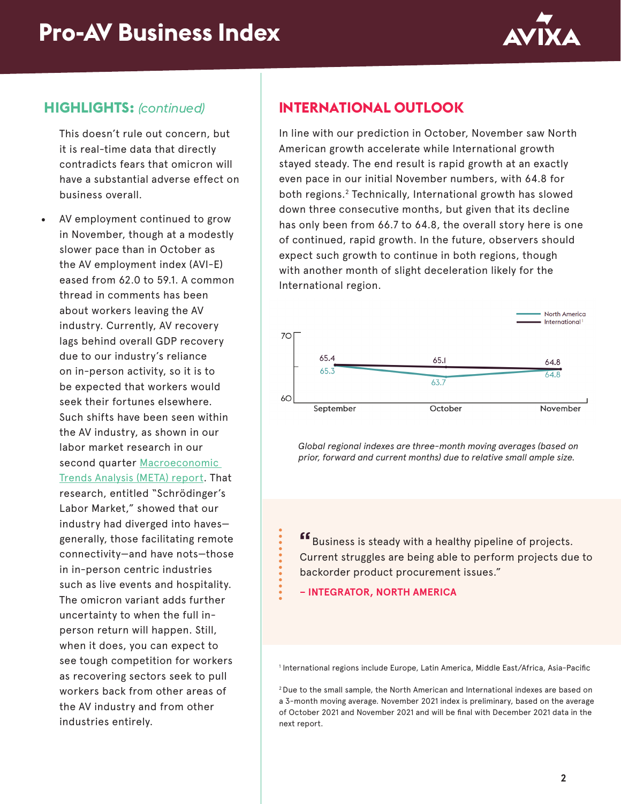

#### **HIGHLIGHTS:** *(continued)*

This doesn't rule out concern, but it is real-time data that directly contradicts fears that omicron will have a substantial adverse effect on business overall.

• AV employment continued to grow in November, though at a modestly slower pace than in October as the AV employment index (AVI-E) eased from 62.0 to 59.1. A common thread in comments has been about workers leaving the AV industry. Currently, AV recovery lags behind overall GDP recovery due to our industry's reliance on in-person activity, so it is to be expected that workers would seek their fortunes elsewhere. Such shifts have been seen within the AV industry, as shown in our labor market research in our second quarter Macroeconomic [Trends Analysis \(META\) report.](https://www.avixa.org/market-intelligence/meta) That research, entitled "Schrödinger's Labor Market," showed that our industry had diverged into haves generally, those facilitating remote connectivity—and have nots—those in in-person centric industries such as live events and hospitality. The omicron variant adds further uncertainty to when the full inperson return will happen. Still, when it does, you can expect to see tough competition for workers as recovering sectors seek to pull workers back from other areas of the AV industry and from other industries entirely.

### **INTERNATIONAL OUTLOOK**

In line with our prediction in October, November saw North American growth accelerate while International growth stayed steady. The end result is rapid growth at an exactly even pace in our initial November numbers, with 64.8 for both regions.2 Technically, International growth has slowed down three consecutive months, but given that its decline has only been from 66.7 to 64.8, the overall story here is one of continued, rapid growth. In the future, observers should expect such growth to continue in both regions, though with another month of slight deceleration likely for the International region.



*Global regional indexes are three-month moving averages (based on prior, forward and current months) due to relative small ample size.*

**"**Business is steady with a healthy pipeline of projects. Current struggles are being able to perform projects due to backorder product procurement issues."

**– INTEGRATOR, NORTH AMERICA**

1 International regions include Europe, Latin America, Middle East/Africa, Asia-Pacific

2 Due to the small sample, the North American and International indexes are based on a 3-month moving average. November 2021 index is preliminary, based on the average of October 2021 and November 2021 and will be final with December 2021 data in the next report.